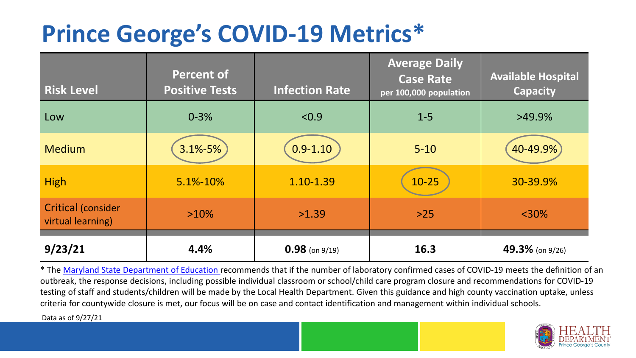## **Prince George's COVID-19 Metrics\***

| <b>Risk Level</b>                       | <b>Percent of</b><br><b>Positive Tests</b> | <b>Infection Rate</b> | <b>Average Daily</b><br><b>Case Rate</b><br>per 100,000 population | <b>Available Hospital</b><br><b>Capacity</b> |
|-----------------------------------------|--------------------------------------------|-----------------------|--------------------------------------------------------------------|----------------------------------------------|
| Low                                     | $0 - 3%$                                   | < 0.9                 | $1 - 5$                                                            | $>49.9\%$                                    |
| <b>Medium</b>                           | $3.1\% - 5\%$                              | $0.9 - 1.10$          | $5 - 10$                                                           | 40-49.9%                                     |
| <b>High</b>                             | 5.1%-10%                                   | 1.10-1.39             | $10 - 25$                                                          | 30-39.9%                                     |
| Critical (consider<br>virtual learning) | $>10\%$                                    | >1.39                 | $>25$                                                              | $<$ 30%                                      |
| 9/23/21                                 | 4.4%                                       | $0.98$ (on 9/19)      | 16.3                                                               | 49.3% (on 9/26)                              |

\* The [Maryland State Department of Education r](https://earlychildhood.marylandpublicschools.org/system/files/filedepot/3/covid_guidance_full_080420.pdf)ecommends that if the number of laboratory confirmed cases of COVID-19 meets the definition of an outbreak, the response decisions, including possible individual classroom or school/child care program closure and recommendations for COVID-19 testing of staff and students/children will be made by the Local Health Department. Given this guidance and high county vaccination uptake, unless criteria for countywide closure is met, our focus will be on case and contact identification and management within individual schools.

Data as of 9/27/21

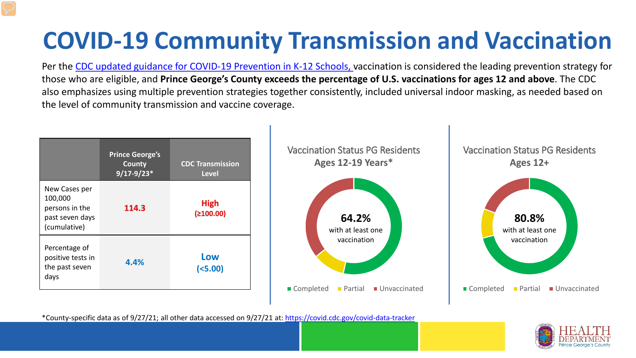# **COVID-19 Community Transmission and Vaccination**

Per the [CDC updated guidance for COVID-19 Prevention in K-12 Schools,](https://www.cdc.gov/coronavirus/2019-ncov/community/schools-childcare/k-12-guidance.html) vaccination is considered the leading prevention strategy for those who are eligible, and **Prince George's County exceeds the percentage of U.S. vaccinations for ages 12 and above**. The CDC also emphasizes using multiple prevention strategies together consistently, included universal indoor masking, as needed based on the level of community transmission and vaccine coverage.



\*County-specific data as of 9/27/21; all other data accessed on 9/27/21 at:<https://covid.cdc.gov/covid-data-tracker>

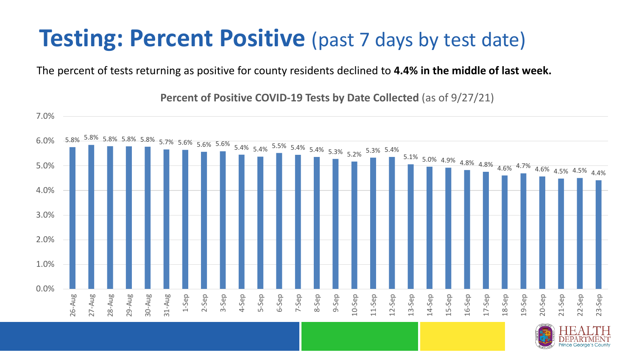### **Testing: Percent Positive** (past 7 days by test date)

The percent of tests returning as positive for county residents declined to **4.4% in the middle of last week.**

5.8% 5.8% 5.8% 5.8% 5.8% 5.7% 5.6% 5.6% 5.6% 5.4% 5.4% 5.5% 5.4% 5.4% 5.3% 5.2% 5.3% 5.4%  $5.1\%$  5.0% 4.9% 4.8% 4.8% 4.6% 4.7% 4.6% 4.5% 4.5% 4.4% 0.0% 1.0% 2.0% 3.0% 4.0% 5.0% 6.0% 7.0% 26-Aug 27-Aug 28-Aug 29-Aug 30-Aug 31-Aug 1-Sep 2-Sep 3-Sep 4-Sep 5-Sep 6-Sep 7-Sep 8-Sep 9-Sep 10-Sep 11-Sep 12-Sep 13-Sep 14-Sep 15-Sep 16-Sep 17-Sep 18-Sep 19-Sep 20-Sep 21-Sep 22-Sep 23-Sep

**Percent of Positive COVID-19 Tests by Date Collected** (as of 9/27/21)

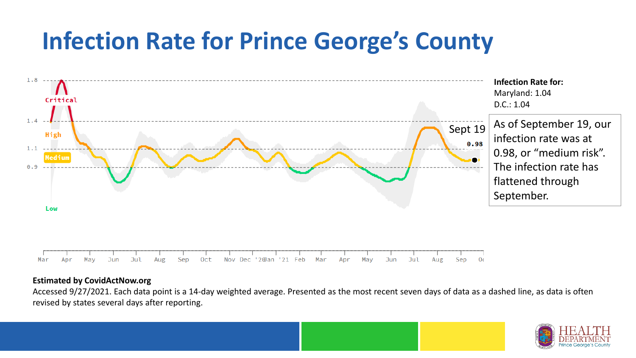## **Infection Rate for Prince George's County**



#### **Estimated by CovidActNow.org**

Accessed 9/27/2021. Each data point is a 14-day weighted average. Presented as the most recent seven days of data as a dashed line, as data is often revised by states several days after reporting.

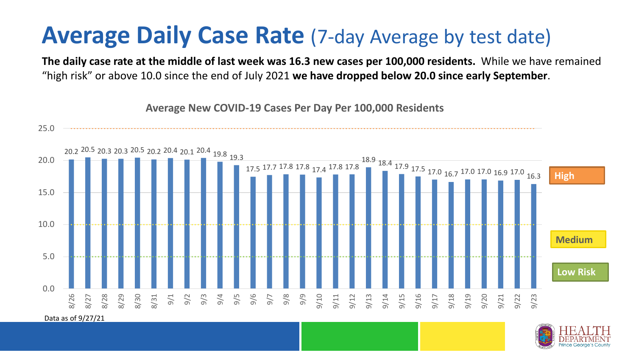### **Average Daily Case Rate** (7-day Average by test date)

**Average New COVID-19 Cases Per Day Per 100,000 Residents**

**The daily case rate at the middle of last week was 16.3 new cases per 100,000 residents.** While we have remained "high risk" or above 10.0 since the end of July 2021 **we have dropped below 20.0 since early September**.